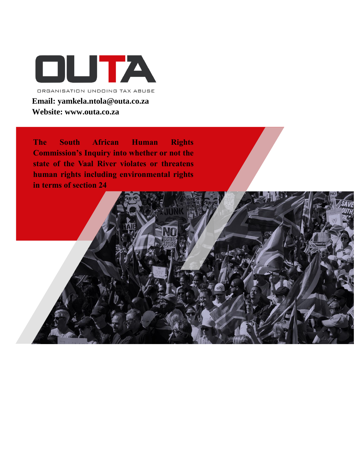

**The South African Human Rights Commission's Inquiry into whether or not the state of the Vaal River violates or threatens human rights including environmental rights in terms of section 24**

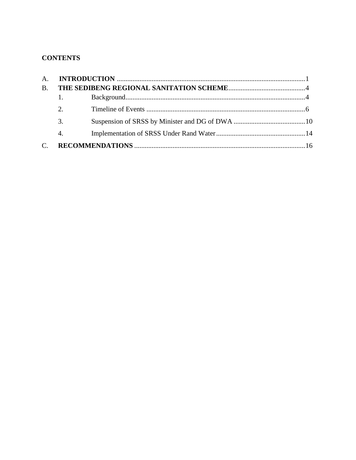# **CONTENTS**

| B. |             |  |
|----|-------------|--|
|    | $1.$ $\sim$ |  |
|    | 2.          |  |
|    | 3.          |  |
|    | 4.          |  |
|    |             |  |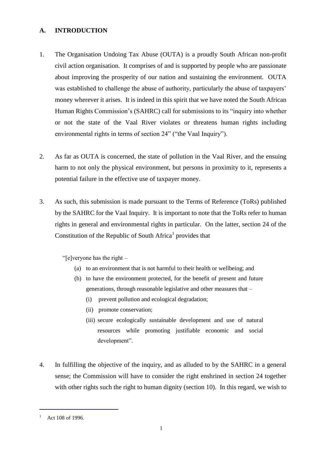## <span id="page-2-0"></span>**A. INTRODUCTION**

- 1. The Organisation Undoing Tax Abuse (OUTA) is a proudly South African non-profit civil action organisation. It comprises of and is supported by people who are passionate about improving the prosperity of our nation and sustaining the environment. OUTA was established to challenge the abuse of authority, particularly the abuse of taxpayers' money wherever it arises. It is indeed in this spirit that we have noted the South African Human Rights Commission's (SAHRC) call for submissions to its "inquiry into whether or not the state of the Vaal River violates or threatens human rights including environmental rights in terms of section 24" ("the Vaal Inquiry").
- 2. As far as OUTA is concerned, the state of pollution in the Vaal River, and the ensuing harm to not only the physical environment, but persons in proximity to it, represents a potential failure in the effective use of taxpayer money.
- 3. As such, this submission is made pursuant to the Terms of Reference (ToRs) published by the SAHRC for the Vaal Inquiry. It is important to note that the ToRs refer to human rights in general and environmental rights in particular. On the latter, section 24 of the Constitution of the Republic of South Africa<sup>1</sup> provides that

"[e]veryone has the right –

- (a) to an environment that is not harmful to their health or wellbeing; and
- (b) to have the environment protected, for the benefit of present and future generations, through reasonable legislative and other measures that –
	- (i) prevent pollution and ecological degradation;
	- (ii) promote conservation;
	- (iii) secure ecologically sustainable development and use of natural resources while promoting justifiable economic and social development".
- 4. In fulfilling the objective of the inquiry, and as alluded to by the SAHRC in a general sense; the Commission will have to consider the right enshrined in section 24 together with other rights such the right to human dignity (section 10). In this regard, we wish to

Act 108 of 1996.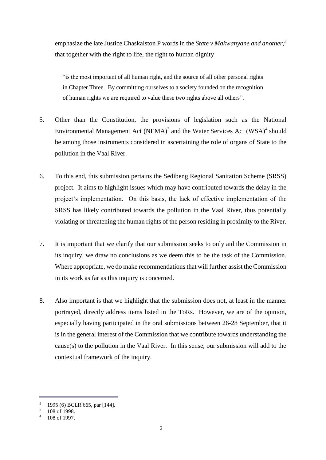emphasize the late Justice Chaskalston P words in the *State v Makwanyane and another,<sup>2</sup>* that together with the right to life, the right to human dignity

"is the most important of all human right, and the source of all other personal rights in Chapter Three. By committing ourselves to a society founded on the recognition of human rights we are required to value these two rights above all others".

- 5. Other than the Constitution, the provisions of legislation such as the National Environmental Management Act (NEMA) $3$  and the Water Services Act (WSA) $4$  should be among those instruments considered in ascertaining the role of organs of State to the pollution in the Vaal River.
- 6. To this end, this submission pertains the Sedibeng Regional Sanitation Scheme (SRSS) project. It aims to highlight issues which may have contributed towards the delay in the project's implementation. On this basis, the lack of effective implementation of the SRSS has likely contributed towards the pollution in the Vaal River, thus potentially violating or threatening the human rights of the person residing in proximity to the River.
- 7. It is important that we clarify that our submission seeks to only aid the Commission in its inquiry, we draw no conclusions as we deem this to be the task of the Commission. Where appropriate, we do make recommendations that will further assist the Commission in its work as far as this inquiry is concerned.
- 8. Also important is that we highlight that the submission does not, at least in the manner portrayed, directly address items listed in the ToRs. However, we are of the opinion, especially having participated in the oral submissions between 26-28 September, that it is in the general interest of the Commission that we contribute towards understanding the cause(s) to the pollution in the Vaal River. In this sense, our submission will add to the contextual framework of the inquiry.

<sup>&</sup>lt;sup>2</sup> 1995 (6) BCLR 665, par  $[144]$ .

 $3 - 108$  of 1998.

 $4$  108 of 1997.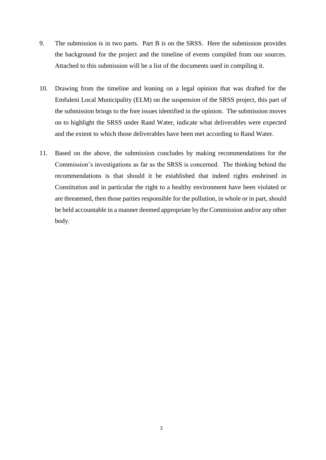- 9. The submission is in two parts. Part B is on the SRSS. Here the submission provides the background for the project and the timeline of events compiled from our sources. Attached to this submission will be a list of the documents used in compiling it.
- 10. Drawing from the timeline and leaning on a legal opinion that was drafted for the Emfuleni Local Municipality (ELM) on the suspension of the SRSS project, this part of the submission brings to the fore issues identified in the opinion. The submission moves on to highlight the SRSS under Rand Water, indicate what deliverables were expected and the extent to which those deliverables have been met according to Rand Water.
- 11. Based on the above, the submission concludes by making recommendations for the Commission's investigations as far as the SRSS is concerned. The thinking behind the recommendations is that should it be established that indeed rights enshrined in Constitution and in particular the right to a healthy environment have been violated or are threatened, then those parties responsible for the pollution, in whole or in part, should be held accountable in a manner deemed appropriate by the Commission and/or any other body.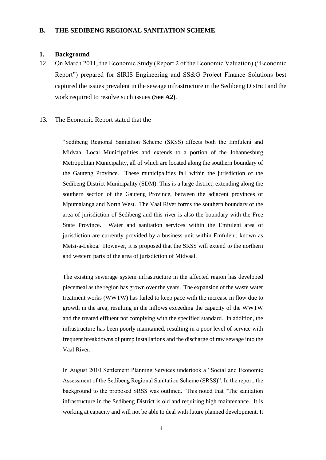#### <span id="page-5-1"></span><span id="page-5-0"></span>**B. THE SEDIBENG REGIONAL SANITATION SCHEME**

#### **1. Background**

12. On March 2011, the Economic Study (Report 2 of the Economic Valuation) ("Economic Report") prepared for SIRIS Engineering and SS&G Project Finance Solutions best captured the issues prevalent in the sewage infrastructure in the Sedibeng District and the work required to resolve such issues **(See A2)**.

#### 13. The Economic Report stated that the

"Sedibeng Regional Sanitation Scheme (SRSS) affects both the Emfuleni and Midvaal Local Municipalities and extends to a portion of the Johannesburg Metropolitan Municipality, all of which are located along the southern boundary of the Gauteng Province. These municipalities fall within the jurisdiction of the Sedibeng District Municipality (SDM). This is a large district, extending along the southern section of the Gauteng Province, between the adjacent provinces of Mpumalanga and North West. The Vaal River forms the southern boundary of the area of jurisdiction of Sedibeng and this river is also the boundary with the Free State Province. Water and sanitation services within the Emfuleni area of jurisdiction are currently provided by a business unit within Emfuleni, known as Metsi-a-Lekoa. However, it is proposed that the SRSS will extend to the northern and western parts of the area of jurisdiction of Midvaal.

The existing sewerage system infrastructure in the affected region has developed piecemeal as the region has grown over the years. The expansion of the waste water treatment works (WWTW) has failed to keep pace with the increase in flow due to growth in the area, resulting in the inflows exceeding the capacity of the WWTW and the treated effluent not complying with the specified standard. In addition, the infrastructure has been poorly maintained, resulting in a poor level of service with frequent breakdowns of pump installations and the discharge of raw sewage into the Vaal River.

In August 2010 Settlement Planning Services undertook a "Social and Economic Assessment of the Sedibeng Regional Sanitation Scheme (SRSS)". In the report, the background to the proposed SRSS was outlined. This noted that "The sanitation infrastructure in the Sedibeng District is old and requiring high maintenance. It is working at capacity and will not be able to deal with future planned development. It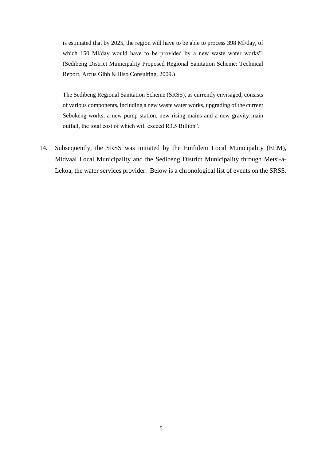is estimated that by 2025, the region will have to be able to process 398 Ml/day, of which 150 Ml/day would have to be provided by a new waste water works". (Sedibeng District Municipality Proposed Regional Sanitation Scheme: Technical Report, Arcus Gibb & Iliso Consulting, 2009.)

The Sedibeng Regional Sanitation Scheme (SRSS), as currently envisaged, consists of various components, including a new waste water works, upgrading of the current Sebokeng works, a new pump station, new rising mains and a new gravity main outfall, the total cost of which will exceed R3.5 Billion".

14. Subsequently, the SRSS was initiated by the Emfuleni Local Municipality (ELM), Midvaal Local Municipality and the Sedibeng District Municipality through Metsi-a-Lekoa, the water services provider. Below is a chronological list of events on the SRSS.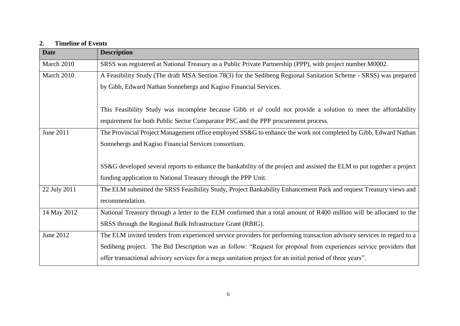# **2. Timeline of Events**

<span id="page-7-0"></span>

| <b>Date</b>  | <b>Description</b>                                                                                                      |
|--------------|-------------------------------------------------------------------------------------------------------------------------|
| March 2010   | SRSS was registered at National Treasury as a Public Private Partnership (PPP), with project number M0002.              |
| March 2010   | A Feasibility Study (The draft MSA Section 78(3) for the Sedibeng Regional Sanitation Scheme - SRSS) was prepared       |
|              | by Gibb, Edward Nathan Sonnebergs and Kagiso Financial Services.                                                        |
|              |                                                                                                                         |
|              | This Feasibility Study was incomplete because Gibb <i>et al</i> could not provide a solution to meet the affordability  |
|              | requirement for both Public Sector Comparator PSC and the PPP procurement process.                                      |
| June 2011    | The Provincial Project Management office employed SS&G to enhance the work not completed by Gibb, Edward Nathan         |
|              | Sonnebergs and Kagiso Financial Services consortium.                                                                    |
|              |                                                                                                                         |
|              | SS&G developed several reports to enhance the bankability of the project and assisted the ELM to put together a project |
|              | funding application to National Treasury through the PPP Unit.                                                          |
| 22 July 2011 | The ELM submitted the SRSS Feasibility Study, Project Bankability Enhancement Pack and request Treasury views and       |
|              | recommendation.                                                                                                         |
| 14 May 2012  | National Treasury through a letter to the ELM confirmed that a total amount of R400 million will be allocated to the    |
|              | SRSS through the Regional Bulk Infrastructure Grant (RBIG).                                                             |
| June 2012    | The ELM invited tenders from experienced service providers for performing transaction advisory services in regard to a  |
|              | Sedibeng project. The Bid Description was as follow: "Request for proposal from experiences service providers that      |
|              | offer transactional advisory services for a mega sanitation project for an initial period of three years".              |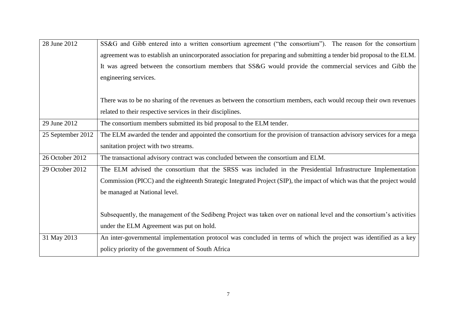| 28 June 2012      | SS&G and Gibb entered into a written consortium agreement ("the consortium"). The reason for the consortium             |
|-------------------|-------------------------------------------------------------------------------------------------------------------------|
|                   | agreement was to establish an unincorporated association for preparing and submitting a tender bid proposal to the ELM. |
|                   | It was agreed between the consortium members that SS&G would provide the commercial services and Gibb the               |
|                   | engineering services.                                                                                                   |
|                   |                                                                                                                         |
|                   | There was to be no sharing of the revenues as between the consortium members, each would recoup their own revenues      |
|                   | related to their respective services in their disciplines.                                                              |
| 29 June 2012      | The consortium members submitted its bid proposal to the ELM tender.                                                    |
| 25 September 2012 | The ELM awarded the tender and appointed the consortium for the provision of transaction advisory services for a mega   |
|                   | sanitation project with two streams.                                                                                    |
| 26 October 2012   | The transactional advisory contract was concluded between the consortium and ELM.                                       |
| 29 October 2012   | The ELM advised the consortium that the SRSS was included in the Presidential Infrastructure Implementation             |
|                   | Commission (PICC) and the eighteenth Strategic Integrated Project (SIP), the impact of which was that the project would |
|                   | be managed at National level.                                                                                           |
|                   |                                                                                                                         |
|                   | Subsequently, the management of the Sedibeng Project was taken over on national level and the consortium's activities   |
|                   | under the ELM Agreement was put on hold.                                                                                |
| 31 May 2013       | An inter-governmental implementation protocol was concluded in terms of which the project was identified as a key       |
|                   | policy priority of the government of South Africa                                                                       |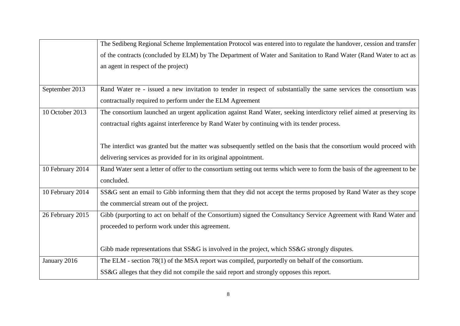|                  | The Sedibeng Regional Scheme Implementation Protocol was entered into to regulate the handover, cession and transfer      |
|------------------|---------------------------------------------------------------------------------------------------------------------------|
|                  | of the contracts (concluded by ELM) by The Department of Water and Sanitation to Rand Water (Rand Water to act as         |
|                  | an agent in respect of the project)                                                                                       |
|                  |                                                                                                                           |
| September 2013   | Rand Water re - issued a new invitation to tender in respect of substantially the same services the consortium was        |
|                  | contractually required to perform under the ELM Agreement                                                                 |
| 10 October 2013  | The consortium launched an urgent application against Rand Water, seeking interdictory relief aimed at preserving its     |
|                  | contractual rights against interference by Rand Water by continuing with its tender process.                              |
|                  |                                                                                                                           |
|                  | The interdict was granted but the matter was subsequently settled on the basis that the consortium would proceed with     |
|                  | delivering services as provided for in its original appointment.                                                          |
| 10 February 2014 | Rand Water sent a letter of offer to the consortium setting out terms which were to form the basis of the agreement to be |
|                  | concluded.                                                                                                                |
| 10 February 2014 | SS&G sent an email to Gibb informing them that they did not accept the terms proposed by Rand Water as they scope         |
|                  | the commercial stream out of the project.                                                                                 |
| 26 February 2015 | Gibb (purporting to act on behalf of the Consortium) signed the Consultancy Service Agreement with Rand Water and         |
|                  | proceeded to perform work under this agreement.                                                                           |
|                  |                                                                                                                           |
|                  | Gibb made representations that SS&G is involved in the project, which SS&G strongly disputes.                             |
| January 2016     | The ELM - section 78(1) of the MSA report was compiled, purportedly on behalf of the consortium.                          |
|                  | SS&G alleges that they did not compile the said report and strongly opposes this report.                                  |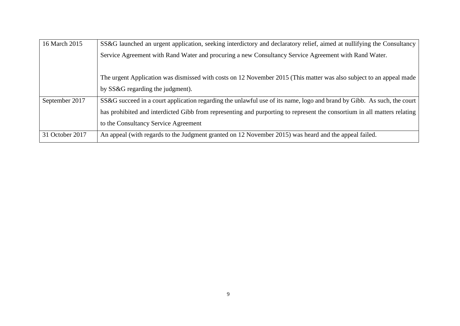| 16 March 2015   | SS&G launched an urgent application, seeking interdictory and declaratory relief, aimed at nullifying the Consultancy    |
|-----------------|--------------------------------------------------------------------------------------------------------------------------|
|                 | Service Agreement with Rand Water and procuring a new Consultancy Service Agreement with Rand Water.                     |
|                 |                                                                                                                          |
|                 | The urgent Application was dismissed with costs on 12 November 2015 (This matter was also subject to an appeal made      |
|                 | by SS&G regarding the judgment).                                                                                         |
| September 2017  | SS&G succeed in a court application regarding the unlawful use of its name, logo and brand by Gibb. As such, the court   |
|                 | has prohibited and interdicted Gibb from representing and purporting to represent the consortium in all matters relating |
|                 | to the Consultancy Service Agreement                                                                                     |
| 31 October 2017 | An appeal (with regards to the Judgment granted on 12 November 2015) was heard and the appeal failed.                    |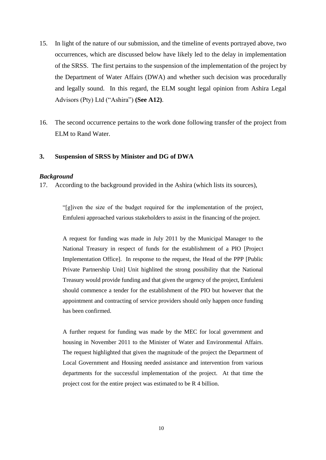- 15. In light of the nature of our submission, and the timeline of events portrayed above, two occurrences, which are discussed below have likely led to the delay in implementation of the SRSS. The first pertains to the suspension of the implementation of the project by the Department of Water Affairs (DWA) and whether such decision was procedurally and legally sound. In this regard, the ELM sought legal opinion from Ashira Legal Advisors (Pty) Ltd ("Ashira") **(See A12)**.
- <span id="page-11-0"></span>16. The second occurrence pertains to the work done following transfer of the project from ELM to Rand Water.

## **3. Suspension of SRSS by Minister and DG of DWA**

#### *Background*

17. According to the background provided in the Ashira (which lists its sources),

"[g]iven the size of the budget required for the implementation of the project, Emfuleni approached various stakeholders to assist in the financing of the project.

A request for funding was made in July 2011 by the Municipal Manager to the National Treasury in respect of funds for the establishment of a PIO [Project Implementation Office]. In response to the request, the Head of the PPP [Public Private Partnership Unit] Unit highlited the strong possibility that the National Treasury would provide funding and that given the urgency of the project, Emfuleni should commence a tender for the establishment of the PIO but however that the appointment and contracting of service providers should only happen once funding has been confirmed.

A further request for funding was made by the MEC for local government and housing in November 2011 to the Minister of Water and Environmental Affairs. The request highlighted that given the magnitude of the project the Department of Local Government and Housing needed assistance and intervention from various departments for the successful implementation of the project. At that time the project cost for the entire project was estimated to be R 4 billion.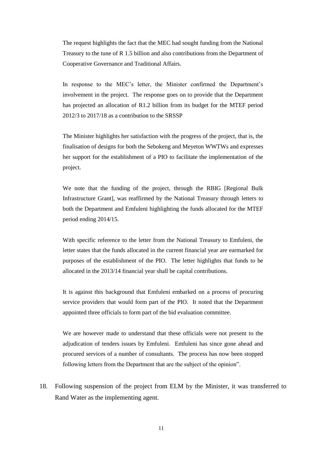The request highlights the fact that the MEC had sought funding from the National Treasury to the tune of R 1.5 billion and also contributions from the Department of Cooperative Governance and Traditional Affairs.

In response to the MEC's letter, the Minister confirmed the Department's involvement in the project. The response goes on to provide that the Department has projected an allocation of R1.2 billion from its budget for the MTEF period 2012/3 to 2017/18 as a contribution to the SRSSP

The Minister highlights her satisfaction with the progress of the project, that is, the finalisation of designs for both the Sebokeng and Meyeton WWTWs and expresses her support for the establishment of a PIO to facilitate the implementation of the project.

We note that the funding of the project, through the RBIG [Regional Bulk Infrastructure Grant], was reaffirmed by the National Treasury through letters to both the Department and Emfuleni highlighting the funds allocated for the MTEF period ending 2014/15.

With specific reference to the letter from the National Treasury to Emfuleni, the letter states that the funds allocated in the current financial year are earmarked for purposes of the establishment of the PIO. The letter highlights that funds to be allocated in the 2013/14 financial year shall be capital contributions.

It is against this background that Emfuleni embarked on a process of procuring service providers that would form part of the PIO. It noted that the Department appointed three officials to form part of the bid evaluation committee.

We are however made to understand that these officials were not present to the adjudication of tenders issues by Emfuleni. Emfuleni has since gone ahead and procured services of a number of consultants. The process has now been stopped following letters from the Department that are the subject of the opinion".

18. Following suspension of the project from ELM by the Minister, it was transferred to Rand Water as the implementing agent.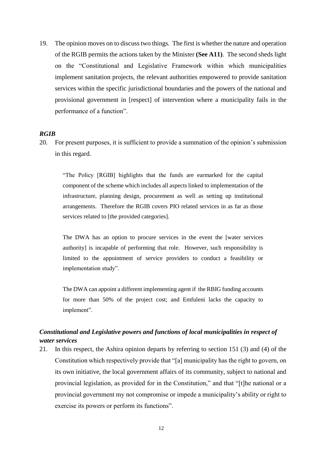19. The opinion moves on to discuss two things. The first is whether the nature and operation of the RGIB permits the actions taken by the Minister **(See A11)**. The second sheds light on the "Constitutional and Legislative Framework within which municipalities implement sanitation projects, the relevant authorities empowered to provide sanitation services within the specific jurisdictional boundaries and the powers of the national and provisional government in [respect] of intervention where a municipality fails in the performance of a function".

#### *RGIB*

20. For present purposes, it is sufficient to provide a summation of the opinion's submission in this regard.

"The Policy [RGIB] highlights that the funds are earmarked for the capital component of the scheme which includes all aspects linked to implementation of the infrastructure, planning design, procurement as well as setting up institutional arrangements. Therefore the RGIB covers PIO related services in as far as those services related to [the provided categories].

The DWA has an option to procure services in the event the [water services authority] is incapable of performing that role. However, such responsibility is limited to the appointment of service providers to conduct a feasibility or implementation study".

The DWA can appoint a different implementing agent if the RBIG funding accounts for more than 50% of the project cost; and Emfuleni lacks the capacity to implement".

# *Constitutional and Legislative powers and functions of local municipalities in respect of water services*

21. In this respect, the Ashira opinion departs by referring to section 151 (3) and (4) of the Constitution which respectively provide that "[a] municipality has the right to govern, on its own initiative, the local government affairs of its community, subject to national and provincial legislation, as provided for in the Constitution," and that "[t]he national or a provincial government my not compromise or impede a municipality's ability or right to exercise its powers or perform its functions".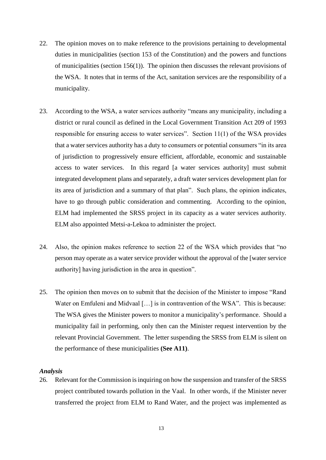- 22. The opinion moves on to make reference to the provisions pertaining to developmental duties in municipalities (section 153 of the Constitution) and the powers and functions of municipalities (section 156(1)). The opinion then discusses the relevant provisions of the WSA. It notes that in terms of the Act, sanitation services are the responsibility of a municipality.
- 23. According to the WSA, a water services authority "means any municipality, including a district or rural council as defined in the Local Government Transition Act 209 of 1993 responsible for ensuring access to water services". Section 11(1) of the WSA provides that a water services authority has a duty to consumers or potential consumers "in its area of jurisdiction to progressively ensure efficient, affordable, economic and sustainable access to water services. In this regard [a water services authority] must submit integrated development plans and separately, a draft water services development plan for its area of jurisdiction and a summary of that plan". Such plans, the opinion indicates, have to go through public consideration and commenting. According to the opinion, ELM had implemented the SRSS project in its capacity as a water services authority. ELM also appointed Metsi-a-Lekoa to administer the project.
- 24. Also, the opinion makes reference to section 22 of the WSA which provides that "no person may operate as a water service provider without the approval of the [water service authority] having jurisdiction in the area in question".
- 25. The opinion then moves on to submit that the decision of the Minister to impose "Rand Water on Emfuleni and Midvaal [...] is in contravention of the WSA". This is because: The WSA gives the Minister powers to monitor a municipality's performance. Should a municipality fail in performing, only then can the Minister request intervention by the relevant Provincial Government. The letter suspending the SRSS from ELM is silent on the performance of these municipalities **(See A11)**.

#### *Analysis*

26. Relevant for the Commission is inquiring on how the suspension and transfer of the SRSS project contributed towards pollution in the Vaal. In other words, if the Minister never transferred the project from ELM to Rand Water, and the project was implemented as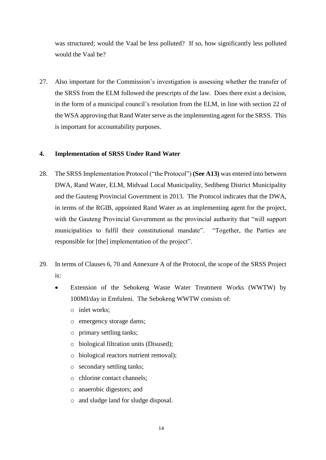was structured; would the Vaal be less polluted? If so, how significantly less polluted would the Vaal be?

27. Also important for the Commission's investigation is assessing whether the transfer of the SRSS from the ELM followed the prescripts of the law. Does there exist a decision, in the form of a municipal council's resolution from the ELM, in line with section 22 of the WSA approving that Rand Water serve as the implementing agent for the SRSS. This is important for accountability purposes.

## <span id="page-15-0"></span>**4. Implementation of SRSS Under Rand Water**

- 28. The SRSS Implementation Protocol ("the Protocol") **(See A13)** was entered into between DWA, Rand Water, ELM, Midvaal Local Municipality, Sedibeng District Municipality and the Gauteng Provincial Government in 2013. The Protocol indicates that the DWA, in terms of the RGIB, appointed Rand Water as an implementing agent for the project, with the Gauteng Provincial Government as the provincial authority that "will support municipalities to fulfil their constitutional mandate". "Together, the Parties are responsible for [the] implementation of the project".
- 29. In terms of Clauses 6, 70 and Annexure A of the Protocol, the scope of the SRSS Project is:
	- Extension of the Sebokeng Waste Water Treatment Works (WWTW) by 100MI/day in Emfuleni. The Sebokeng WWTW consists of:
		- o inlet works;
		- o emergency storage dams;
		- o primary settling tanks;
		- o biological filtration units (Disused);
		- o biological reactors nutrient removal);
		- o secondary settling tanks;
		- o chlorine contact channels;
		- o anaerobic digestors; and
		- o and sludge land for sludge disposal.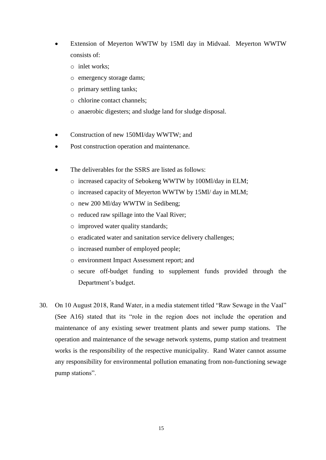- Extension of Meyerton WWTW by 15Ml day in Midvaal. Meyerton WWTW consists of:
	- o inlet works;
	- o emergency storage dams;
	- o primary settling tanks;
	- o chlorine contact channels;
	- o anaerobic digesters; and sludge land for sludge disposal.
- Construction of new 150MI/day WWTW; and
- Post construction operation and maintenance.
- The deliverables for the SSRS are listed as follows:
	- o increased capacity of Sebokeng WWTW by 100Ml/day in ELM;
	- o increased capacity of Meyerton WWTW by 15Ml/ day in MLM;
	- o new 200 Ml/day WWTW in Sedibeng;
	- o reduced raw spillage into the Vaal River;
	- o improved water quality standards;
	- o eradicated water and sanitation service delivery challenges;
	- o increased number of employed people;
	- o environment Impact Assessment report; and
	- o secure off-budget funding to supplement funds provided through the Department's budget.
- 30. On 10 August 2018, Rand Water, in a media statement titled "Raw Sewage in the Vaal" (See A16) stated that its "role in the region does not include the operation and maintenance of any existing sewer treatment plants and sewer pump stations. The operation and maintenance of the sewage network systems, pump station and treatment works is the responsibility of the respective municipality. Rand Water cannot assume any responsibility for environmental pollution emanating from non-functioning sewage pump stations".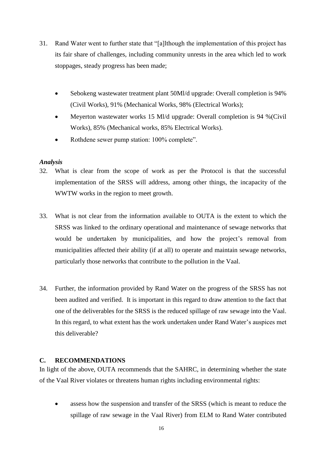- 31. Rand Water went to further state that "[a]lthough the implementation of this project has its fair share of challenges, including community unrests in the area which led to work stoppages, steady progress has been made;
	- Sebokeng wastewater treatment plant 50Ml/d upgrade: Overall completion is 94% (Civil Works), 91% (Mechanical Works, 98% (Electrical Works);
	- Meyerton wastewater works 15 Ml/d upgrade: Overall completion is 94 %(Civil Works), 85% (Mechanical works, 85% Electrical Works).
	- Rothdene sewer pump station: 100% complete".

## *Analysis*

- 32. What is clear from the scope of work as per the Protocol is that the successful implementation of the SRSS will address, among other things, the incapacity of the WWTW works in the region to meet growth.
- 33. What is not clear from the information available to OUTA is the extent to which the SRSS was linked to the ordinary operational and maintenance of sewage networks that would be undertaken by municipalities, and how the project's removal from municipalities affected their ability (if at all) to operate and maintain sewage networks, particularly those networks that contribute to the pollution in the Vaal.
- 34. Further, the information provided by Rand Water on the progress of the SRSS has not been audited and verified. It is important in this regard to draw attention to the fact that one of the deliverables for the SRSS is the reduced spillage of raw sewage into the Vaal. In this regard, to what extent has the work undertaken under Rand Water's auspices met this deliverable?

## <span id="page-17-0"></span>**C. RECOMMENDATIONS**

In light of the above, OUTA recommends that the SAHRC, in determining whether the state of the Vaal River violates or threatens human rights including environmental rights:

• assess how the suspension and transfer of the SRSS (which is meant to reduce the spillage of raw sewage in the Vaal River) from ELM to Rand Water contributed